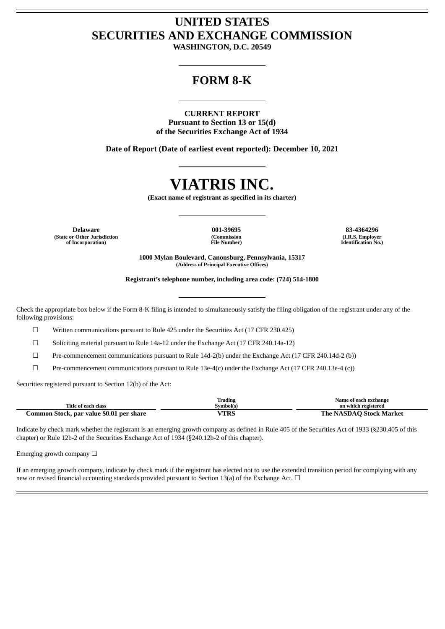## **UNITED STATES SECURITIES AND EXCHANGE COMMISSION**

**WASHINGTON, D.C. 20549**

### **FORM 8-K**

#### **CURRENT REPORT**

**Pursuant to Section 13 or 15(d) of the Securities Exchange Act of 1934**

**Date of Report (Date of earliest event reported): December 10, 2021**

# **VIATRIS INC.**

**(Exact name of registrant as specified in its charter)**

**Delaware 001-39695 83-4364296 (State or Other Jurisdiction of Incorporation)**

**(Commission File Number)**

**(I.R.S. Employer Identification No.)**

**1000 Mylan Boulevard, Canonsburg, Pennsylvania, 15317 (Address of Principal Executive Offices)**

**Registrant's telephone number, including area code: (724) 514-1800**

Check the appropriate box below if the Form 8-K filing is intended to simultaneously satisfy the filing obligation of the registrant under any of the following provisions:

☐ Written communications pursuant to Rule 425 under the Securities Act (17 CFR 230.425)

☐ Soliciting material pursuant to Rule 14a-12 under the Exchange Act (17 CFR 240.14a-12)

☐ Pre-commencement communications pursuant to Rule 14d-2(b) under the Exchange Act (17 CFR 240.14d-2 (b))

 $\Box$  Pre-commencement communications pursuant to Rule 13e-4(c) under the Exchange Act (17 CFR 240.13e-4 (c))

Securities registered pursuant to Section 12(b) of the Act:

|                                          | Trading       | Name of each exchange                  |
|------------------------------------------|---------------|----------------------------------------|
| Title of each class                      | Symbol(s)     | on which registered                    |
| Common Stock, par value \$0.01 per share | UTDC<br>1 IVO | Stock Market<br>ASDAP<br>The N<br>эаэі |

Indicate by check mark whether the registrant is an emerging growth company as defined in Rule 405 of the Securities Act of 1933 (§230.405 of this chapter) or Rule 12b-2 of the Securities Exchange Act of 1934 (§240.12b-2 of this chapter).

Emerging growth company  $\Box$ 

If an emerging growth company, indicate by check mark if the registrant has elected not to use the extended transition period for complying with any new or revised financial accounting standards provided pursuant to Section 13(a) of the Exchange Act.  $\Box$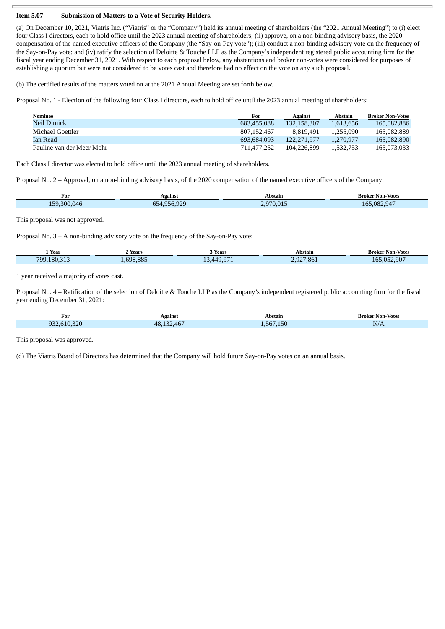#### **Item 5.07 Submission of Matters to a Vote of Security Holders.**

(a) On December 10, 2021, Viatris Inc. ("Viatris" or the "Company") held its annual meeting of shareholders (the "2021 Annual Meeting") to (i) elect four Class I directors, each to hold office until the 2023 annual meeting of shareholders; (ii) approve, on a non-binding advisory basis, the 2020 compensation of the named executive officers of the Company (the "Say-on-Pay vote"); (iii) conduct a non-binding advisory vote on the frequency of the Say-on-Pay vote; and (iv) ratify the selection of Deloitte & Touche LLP as the Company's independent registered public accounting firm for the fiscal year ending December 31, 2021. With respect to each proposal below, any abstentions and broker non-votes were considered for purposes of establishing a quorum but were not considered to be votes cast and therefore had no effect on the vote on any such proposal.

(b) The certified results of the matters voted on at the 2021 Annual Meeting are set forth below.

Proposal No. 1 - Election of the following four Class I directors, each to hold office until the 2023 annual meeting of shareholders:

| Nominee                   | For         | Against     | Abstain   | <b>Broker Non-Votes</b> |
|---------------------------|-------------|-------------|-----------|-------------------------|
| Neil Dimick               | 683,455,088 | 132.158.307 | 1.613.656 | 165,082,886             |
| Michael Goettler          | 807,152,467 | 8.819.491   | 1.255.090 | 165.082.889             |
| Ian Read                  | 693.684.093 | 122.271.977 | 1.270.977 | 165,082,890             |
| Pauline van der Meer Mohr | 711.477.252 | 104.226.899 | 1.532.753 | 165,073,033             |

Each Class I director was elected to hold office until the 2023 annual meeting of shareholders.

Proposal No. 2 – Approval, on a non-binding advisory basis, of the 2020 compensation of the named executive officers of the Company:

| For                       | Against     | Abstain | Broker Non-Votes                                  |
|---------------------------|-------------|---------|---------------------------------------------------|
| 300<br><b>EQ</b><br>(146) | 0.00<br>$-$ | 0.70    | $\sim$ $\sim$<br>.082<br>16 <sup>r</sup><br>2.947 |
|                           |             |         |                                                   |

This proposal was not approved.

Proposal No. 3 – A non-binding advisory vote on the frequency of the Say-on-Pay vote:

| Year            | Years   | 3 Years                                                 | Abstain                   | <b>Broker Non-Votes</b>          |
|-----------------|---------|---------------------------------------------------------|---------------------------|----------------------------------|
| 180 313<br>799, | 698.885 | $\Lambda$ <sup>1</sup><br>$\overline{\phantom{a}}$<br>∸ | 192 <sup>7</sup><br>7.861 | .052.907<br>$\sim$ $\sim$ $\sim$ |
|                 |         |                                                         |                           |                                  |

1 year received a majority of votes cast.

Proposal No. 4 – Ratification of the selection of Deloitte & Touche LLP as the Company's independent registered public accounting firm for the fiscal year ending December 31, 2021:

| For                  | Against    | Abstair         | Non-Votes<br>Broker |
|----------------------|------------|-----------------|---------------------|
| 320                  | $\sqrt{2}$ | $\rightarrow -$ | N/A                 |
| $\sim$ $\sim$ $\sim$ | $\sim$     | $ -$            |                     |
| $\sim$ $\sim$        | ⊿ ≻        | 56              |                     |
| .                    | $\sqrt{1}$ |                 |                     |

This proposal was approved.

(d) The Viatris Board of Directors has determined that the Company will hold future Say-on-Pay votes on an annual basis.